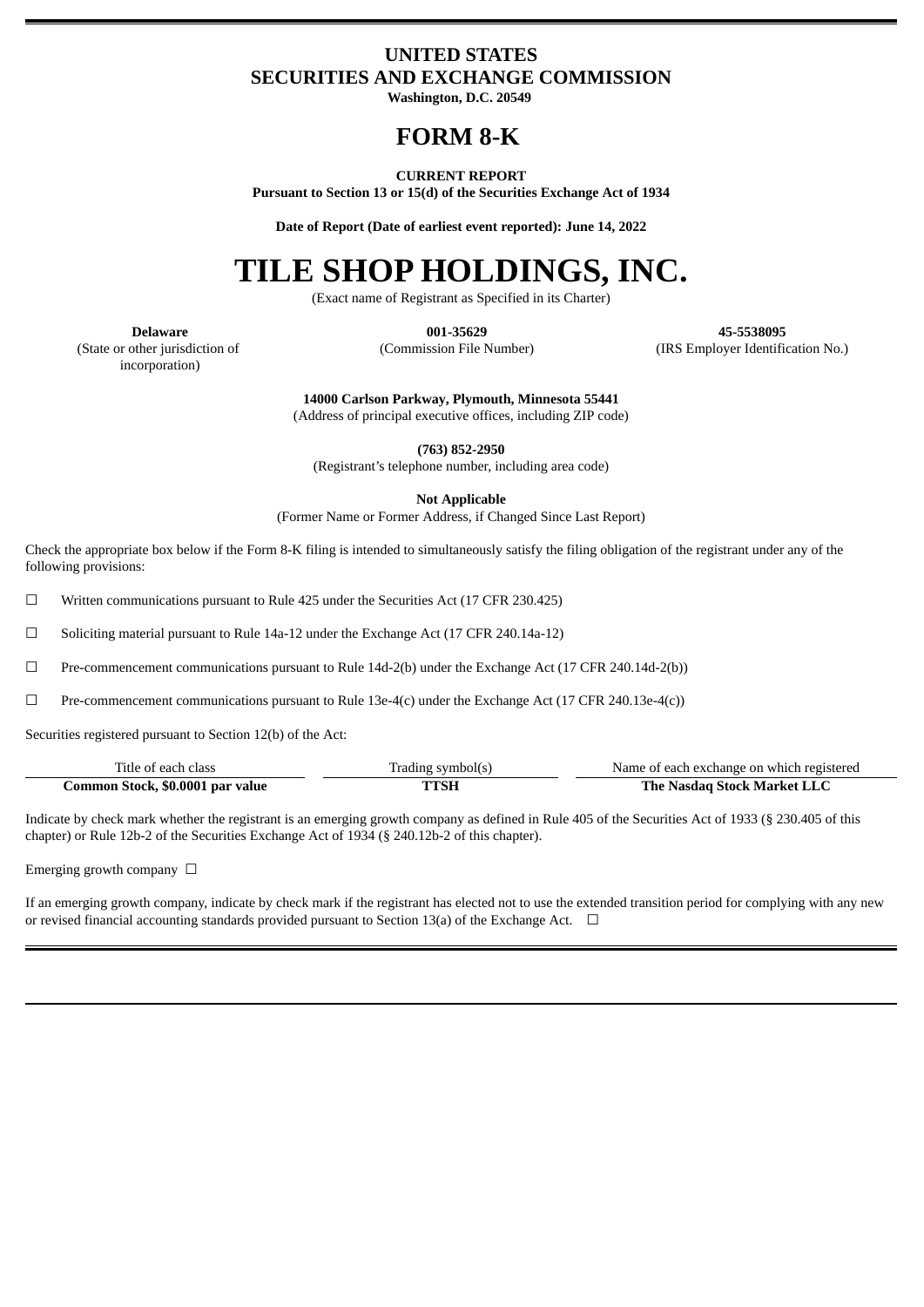## **UNITED STATES SECURITIES AND EXCHANGE COMMISSION**

**Washington, D.C. 20549**

# **FORM 8-K**

### **CURRENT REPORT**

**Pursuant to Section 13 or 15(d) of the Securities Exchange Act of 1934**

**Date of Report (Date of earliest event reported): June 14, 2022**

# **TILE SHOP HOLDINGS, INC.**

(Exact name of Registrant as Specified in its Charter)

**Delaware 001-35629 45-5538095** (Commission File Number) (IRS Employer Identification No.)

(State or other jurisdiction of incorporation)

**14000 Carlson Parkway, Plymouth, Minnesota 55441** (Address of principal executive offices, including ZIP code)

**(763) 852-2950**

(Registrant's telephone number, including area code)

**Not Applicable**

(Former Name or Former Address, if Changed Since Last Report)

Check the appropriate box below if the Form 8-K filing is intended to simultaneously satisfy the filing obligation of the registrant under any of the following provisions:

☐ Written communications pursuant to Rule 425 under the Securities Act (17 CFR 230.425)

☐ Soliciting material pursuant to Rule 14a-12 under the Exchange Act (17 CFR 240.14a-12)

 $□$  Pre-commencement communications pursuant to Rule 14d-2(b) under the Exchange Act (17 CFR 240.14d-2(b))

 $\Box$  Pre-commencement communications pursuant to Rule 13e-4(c) under the Exchange Act (17 CFR 240.13e-4(c))

Securities registered pursuant to Section 12(b) of the Act:

| Title of each class              | Trading symbol(s) | Name of each exchange on which registered |
|----------------------------------|-------------------|-------------------------------------------|
| Common Stock, \$0.0001 par value | TTSH              | The Nasdag Stock Market LLC               |

Indicate by check mark whether the registrant is an emerging growth company as defined in Rule 405 of the Securities Act of 1933 (§ 230.405 of this chapter) or Rule 12b-2 of the Securities Exchange Act of 1934 (§ 240.12b-2 of this chapter).

Emerging growth company  $\Box$ 

If an emerging growth company, indicate by check mark if the registrant has elected not to use the extended transition period for complying with any new or revised financial accounting standards provided pursuant to Section 13(a) of the Exchange Act.  $\Box$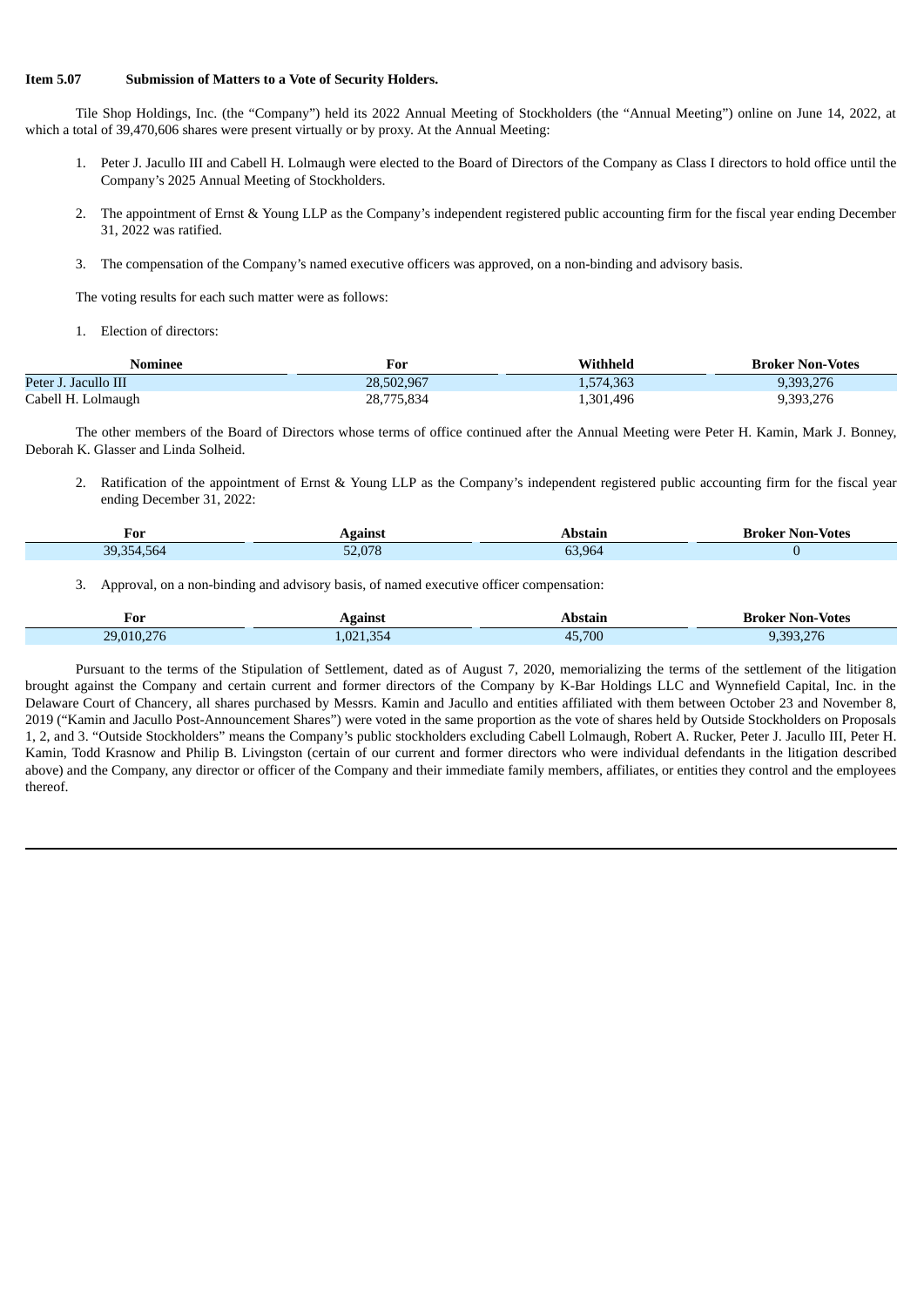### **Item 5.07 Submission of Matters to a Vote of Security Holders.**

Tile Shop Holdings, Inc. (the "Company") held its 2022 Annual Meeting of Stockholders (the "Annual Meeting") online on June 14, 2022, at which a total of 39,470,606 shares were present virtually or by proxy. At the Annual Meeting:

- 1. Peter J. Jacullo III and Cabell H. Lolmaugh were elected to the Board of Directors of the Company as Class I directors to hold office until the Company's 2025 Annual Meeting of Stockholders.
- 2. The appointment of Ernst & Young LLP as the Company's independent registered public accounting firm for the fiscal year ending December 31, 2022 was ratified.
- 3. The compensation of the Company's named executive officers was approved, on a non-binding and advisory basis.

The voting results for each such matter were as follows:

1. Election of directors:

| Nominee              | For             | $\boldsymbol N$ ithheld | <b>Broker Non-Votes</b> |
|----------------------|-----------------|-------------------------|-------------------------|
| Peter J. Jacullo III | 28.502.967      | 1,574,363               | 9.393.276               |
| Cabell H. Lolmaugh   | 775,834<br>28,7 | 1,301,496               | 9,393,276               |

The other members of the Board of Directors whose terms of office continued after the Annual Meeting were Peter H. Kamin, Mark J. Bonney, Deborah K. Glasser and Linda Solheid.

2. Ratification of the appointment of Ernst & Young LLP as the Company's independent registered public accounting firm for the fiscal year ending December 31, 2022:

| For               | gainsi           | stain         | Non-Votes<br>…roke× |
|-------------------|------------------|---------------|---------------------|
| 30<br>.564<br>554 | 0.000<br>$ \sim$ | $\sim$<br>964 |                     |

3. Approval, on a non-binding and advisory basis, of named executive officer compensation:

| For<br>_____ | gamst     | Abstain         | <b>Broker Non-Votes</b>           |
|--------------|-----------|-----------------|-----------------------------------|
| 29.010.276   | 1,021,354 | 45.700<br>$4 -$ | $\mathbf{a} = \mathbf{a}$<br>"nom |

Pursuant to the terms of the Stipulation of Settlement, dated as of August 7, 2020, memorializing the terms of the settlement of the litigation brought against the Company and certain current and former directors of the Company by K-Bar Holdings LLC and Wynnefield Capital, Inc. in the Delaware Court of Chancery, all shares purchased by Messrs. Kamin and Jacullo and entities affiliated with them between October 23 and November 8, 2019 ("Kamin and Jacullo Post-Announcement Shares") were voted in the same proportion as the vote of shares held by Outside Stockholders on Proposals 1, 2, and 3. "Outside Stockholders" means the Company's public stockholders excluding Cabell Lolmaugh, Robert A. Rucker, Peter J. Jacullo III, Peter H. Kamin, Todd Krasnow and Philip B. Livingston (certain of our current and former directors who were individual defendants in the litigation described above) and the Company, any director or officer of the Company and their immediate family members, affiliates, or entities they control and the employees thereof.